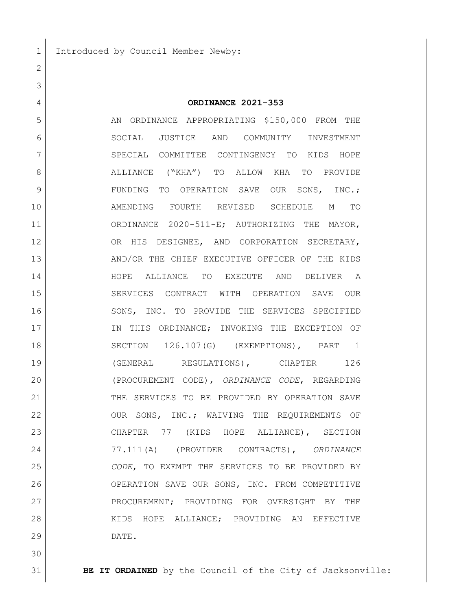1 Introduced by Council Member Newby:

 **ORDINANCE 2021-353** 5 AN ORDINANCE APPROPRIATING \$150,000 FROM THE SOCIAL JUSTICE AND COMMUNITY INVESTMENT 7 SPECIAL COMMITTEE CONTINGENCY TO KIDS HOPE ALLIANCE ("KHA") TO ALLOW KHA TO PROVIDE 9 | FUNDING TO OPERATION SAVE OUR SONS, INC.; AMENDING FOURTH REVISED SCHEDULE M TO ORDINANCE 2020-511-E; AUTHORIZING THE MAYOR, OR HIS DESIGNEE, AND CORPORATION SECRETARY, AND/OR THE CHIEF EXECUTIVE OFFICER OF THE KIDS HOPE ALLIANCE TO EXECUTE AND DELIVER A SERVICES CONTRACT WITH OPERATION SAVE OUR 16 SONS, INC. TO PROVIDE THE SERVICES SPECIFIED 17 IN THIS ORDINANCE; INVOKING THE EXCEPTION OF SECTION 126.107(G) (EXEMPTIONS), PART 1 **(GENERAL REGULATIONS), CHAPTER** 126 (PROCUREMENT CODE), *ORDINANCE CODE*, REGARDING 21 THE SERVICES TO BE PROVIDED BY OPERATION SAVE OUR SONS, INC.; WAIVING THE REQUIREMENTS OF CHAPTER 77 (KIDS HOPE ALLIANCE), SECTION 77.111(A) (PROVIDER CONTRACTS), *ORDINANCE CODE*, TO EXEMPT THE SERVICES TO BE PROVIDED BY OPERATION SAVE OUR SONS, INC. FROM COMPETITIVE 27 | PROCUREMENT; PROVIDING FOR OVERSIGHT BY THE 28 KIDS HOPE ALLIANCE; PROVIDING AN EFFECTIVE DATE.

**BE IT ORDAINED** by the Council of the City of Jacksonville: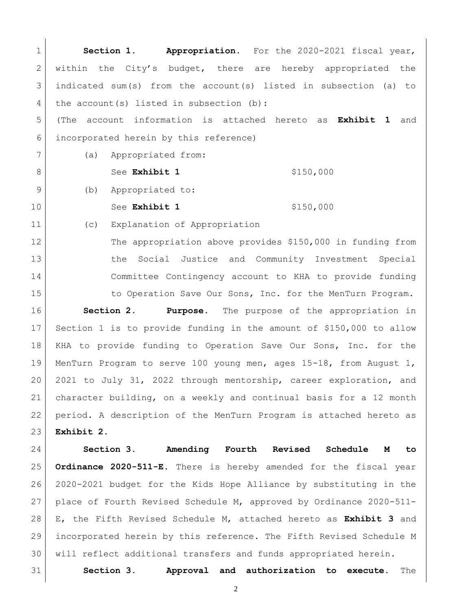**Section 1. Appropriation.** For the 2020-2021 fiscal year, 2 within the City's budget, there are hereby appropriated the indicated sum(s) from the account(s) listed in subsection (a) to 4 the account(s) listed in subsection (b): (The account information is attached hereto as **Exhibit 1** and incorporated herein by this reference) (a) Appropriated from: 8 See **Exhibit 1** \$150,000 9 (b) Appropriated to: 10 See Exhibit 1 \$150,000 (c) Explanation of Appropriation The appropriation above provides \$150,000 in funding from the Social Justice and Community Investment Special Committee Contingency account to KHA to provide funding 15 to Operation Save Our Sons, Inc. for the MenTurn Program. **Section 2. Purpose.** The purpose of the appropriation in Section 1 is to provide funding in the amount of \$150,000 to allow

 KHA to provide funding to Operation Save Our Sons, Inc. for the MenTurn Program to serve 100 young men, ages 15-18, from August 1, 2021 to July 31, 2022 through mentorship, career exploration, and character building, on a weekly and continual basis for a 12 month period. A description of the MenTurn Program is attached hereto as **Exhibit 2**.

 **Section 3. Amending Fourth Revised Schedule M to Ordinance 2020-511-E.** There is hereby amended for the fiscal year 2020-2021 budget for the Kids Hope Alliance by substituting in the place of Fourth Revised Schedule M, approved by Ordinance 2020-511- E, the Fifth Revised Schedule M, attached hereto as **Exhibit 3** and incorporated herein by this reference. The Fifth Revised Schedule M will reflect additional transfers and funds appropriated herein.

**Section 3. Approval and authorization to execute.** The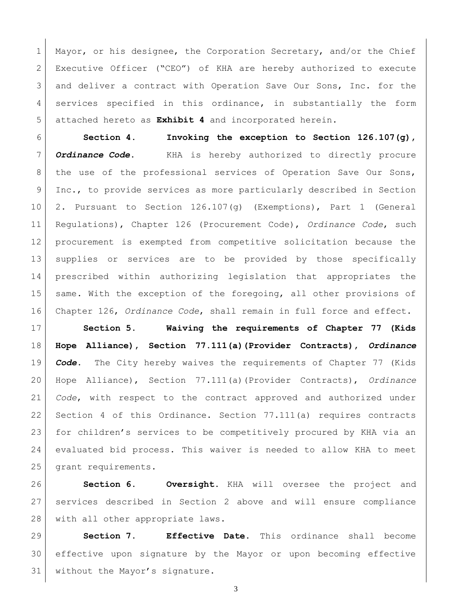1 Mayor, or his designee, the Corporation Secretary, and/or the Chief Executive Officer ("CEO") of KHA are hereby authorized to execute and deliver a contract with Operation Save Our Sons, Inc. for the services specified in this ordinance, in substantially the form attached hereto as **Exhibit 4** and incorporated herein.

 **Section 4. Invoking the exception to Section 126.107(g),**  *Ordinance Code*. KHA is hereby authorized to directly procure 8 | the use of the professional services of Operation Save Our Sons, Inc., to provide services as more particularly described in Section 2. Pursuant to Section 126.107(g) (Exemptions), Part 1 (General Regulations), Chapter 126 (Procurement Code), *Ordinance Code*, such procurement is exempted from competitive solicitation because the supplies or services are to be provided by those specifically prescribed within authorizing legislation that appropriates the 15 same. With the exception of the foregoing, all other provisions of Chapter 126, *Ordinance Code*, shall remain in full force and effect.

 **Section 5. Waiving the requirements of Chapter 77 (Kids Hope Alliance), Section 77.111(a)(Provider Contracts),** *Ordinance Code***.** The City hereby waives the requirements of Chapter 77 (Kids Hope Alliance), Section 77.111(a)(Provider Contracts), *Ordinance Code*, with respect to the contract approved and authorized under 22 Section 4 of this Ordinance. Section 77.111(a) requires contracts for children's services to be competitively procured by KHA via an evaluated bid process. This waiver is needed to allow KHA to meet grant requirements.

 **Section 6. Oversight.** KHA will oversee the project and services described in Section 2 above and will ensure compliance 28 with all other appropriate laws.

 **Section 7. Effective Date.** This ordinance shall become effective upon signature by the Mayor or upon becoming effective 31 without the Mayor's signature.